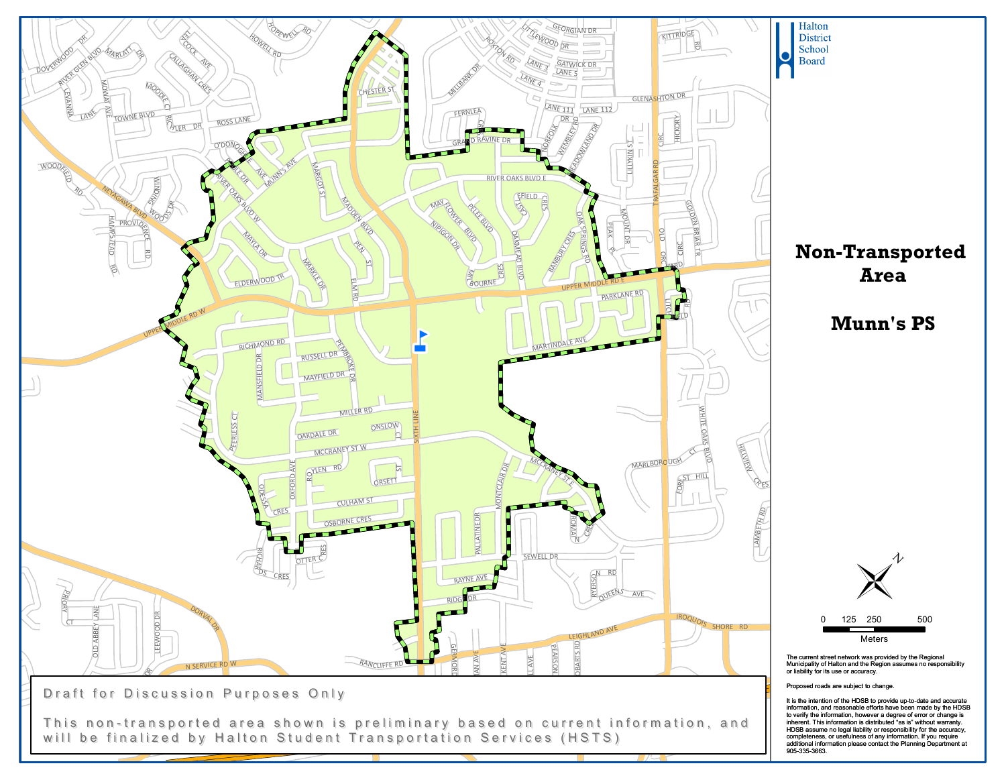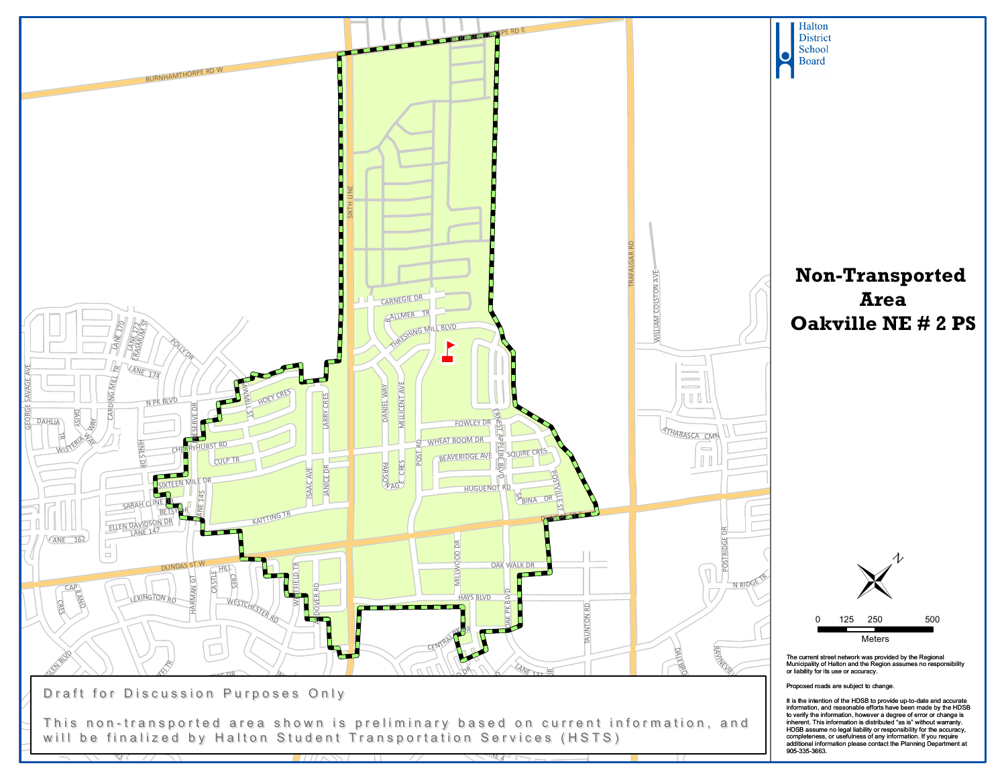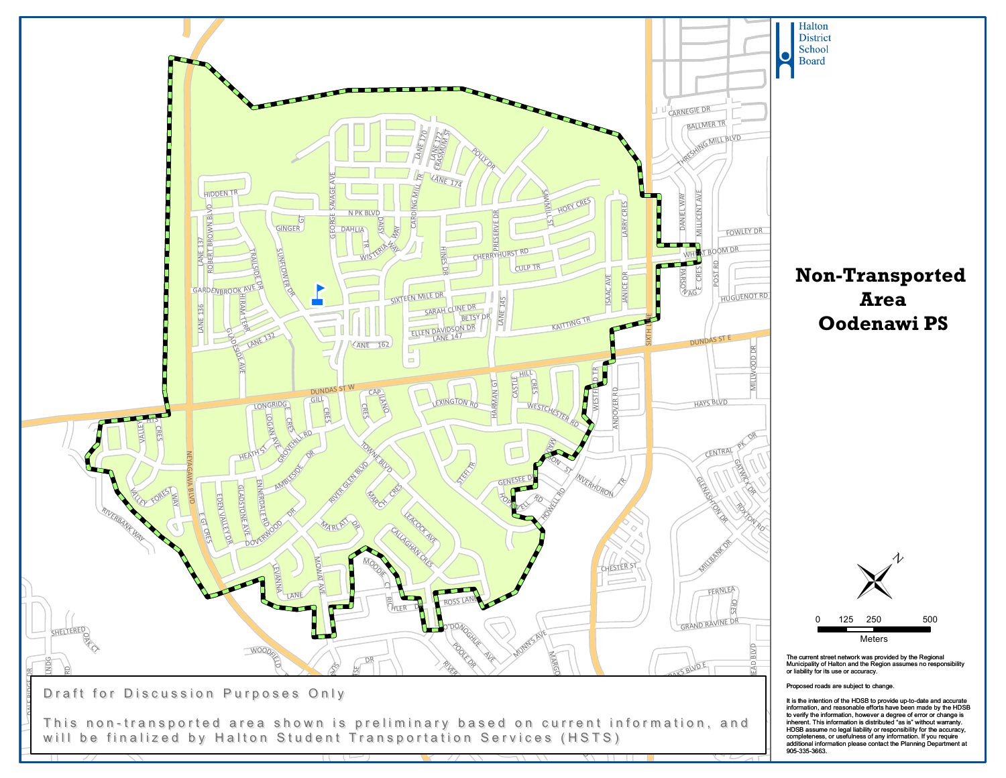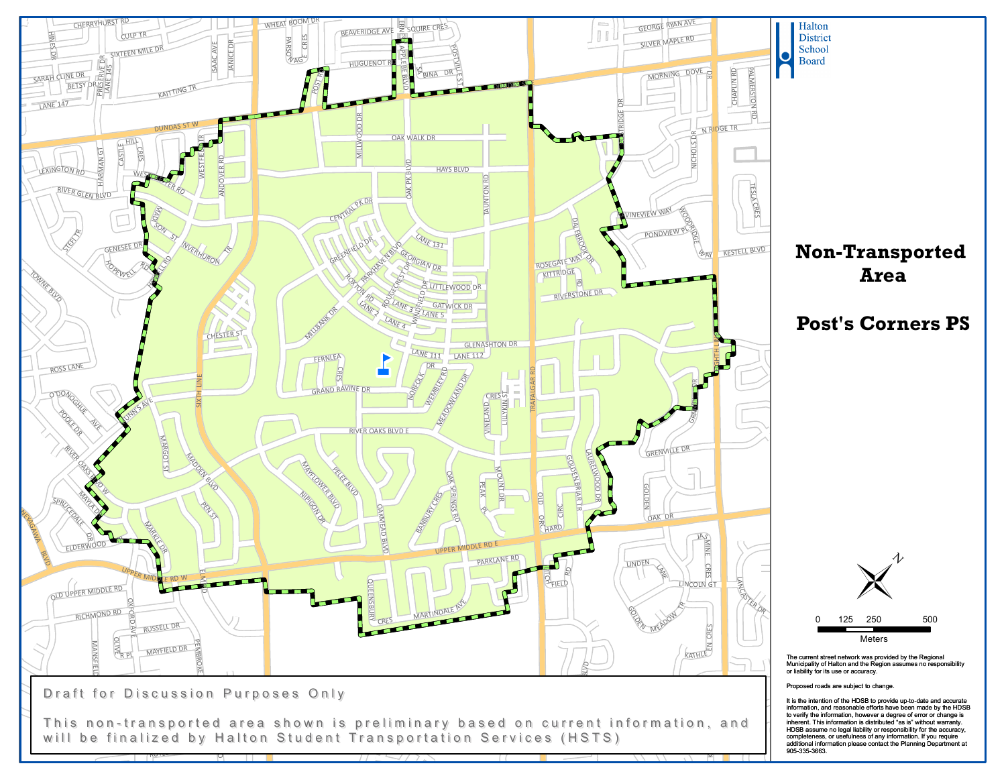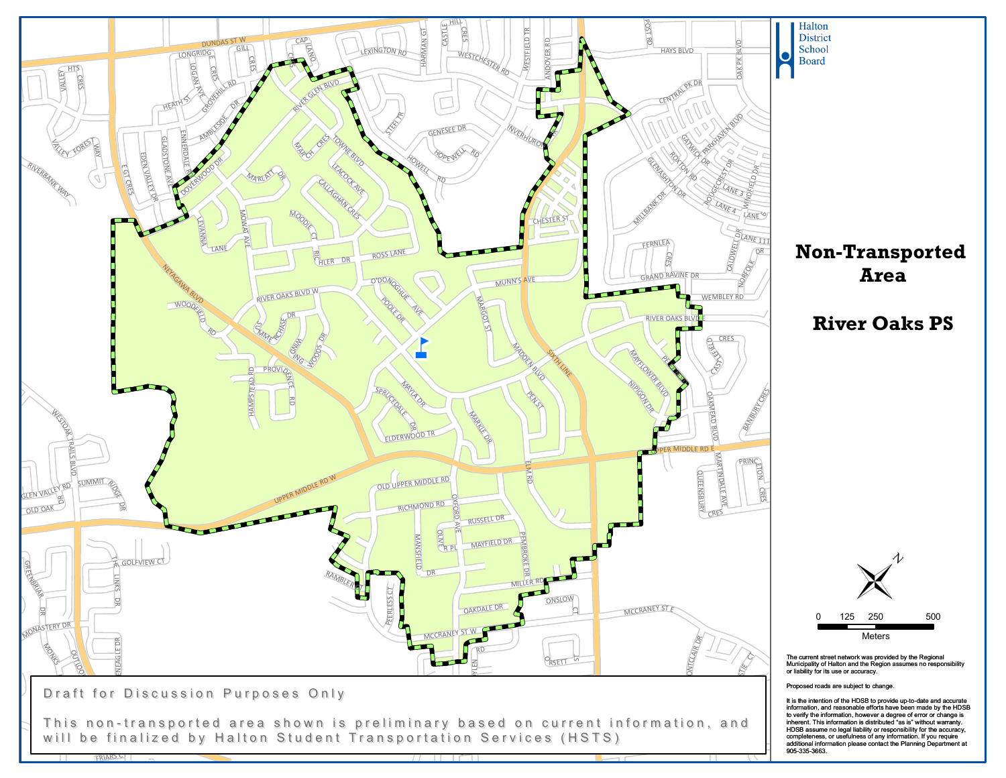